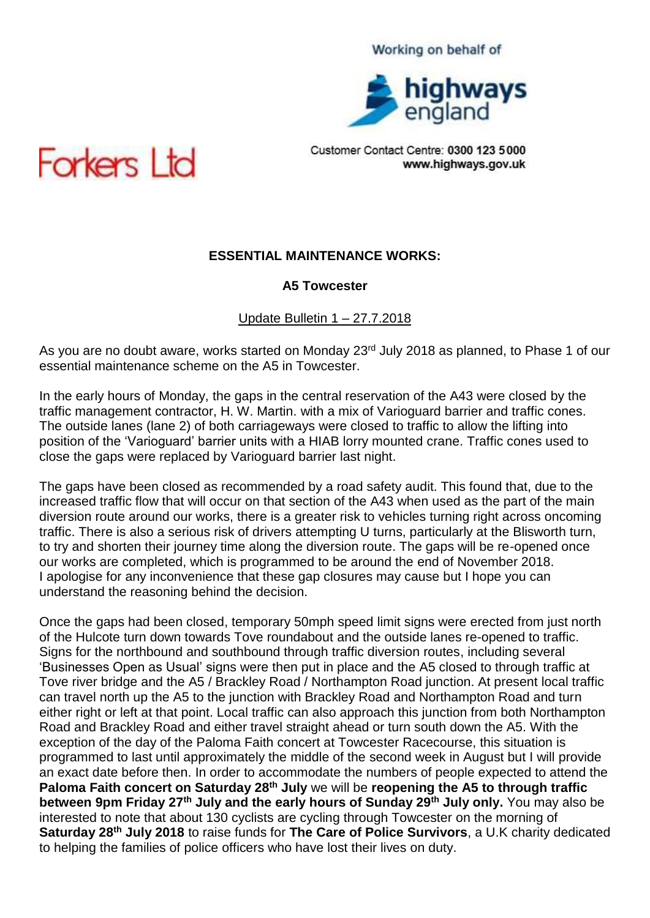

Customer Contact Centre: 0300 123 5000 www.highways.gov.uk



# **ESSENTIAL MAINTENANCE WORKS:**

### **A5 Towcester**

Update Bulletin 1 – 27.7.2018

As you are no doubt aware, works started on Monday 23<sup>rd</sup> July 2018 as planned, to Phase 1 of our essential maintenance scheme on the A5 in Towcester.

In the early hours of Monday, the gaps in the central reservation of the A43 were closed by the traffic management contractor, H. W. Martin. with a mix of Varioguard barrier and traffic cones. The outside lanes (lane 2) of both carriageways were closed to traffic to allow the lifting into position of the 'Varioguard' barrier units with a HIAB lorry mounted crane. Traffic cones used to close the gaps were replaced by Varioguard barrier last night.

The gaps have been closed as recommended by a road safety audit. This found that, due to the increased traffic flow that will occur on that section of the A43 when used as the part of the main diversion route around our works, there is a greater risk to vehicles turning right across oncoming traffic. There is also a serious risk of drivers attempting U turns, particularly at the Blisworth turn, to try and shorten their journey time along the diversion route. The gaps will be re-opened once our works are completed, which is programmed to be around the end of November 2018. I apologise for any inconvenience that these gap closures may cause but I hope you can understand the reasoning behind the decision.

Once the gaps had been closed, temporary 50mph speed limit signs were erected from just north of the Hulcote turn down towards Tove roundabout and the outside lanes re-opened to traffic. Signs for the northbound and southbound through traffic diversion routes, including several 'Businesses Open as Usual' signs were then put in place and the A5 closed to through traffic at Tove river bridge and the A5 / Brackley Road / Northampton Road junction. At present local traffic can travel north up the A5 to the junction with Brackley Road and Northampton Road and turn either right or left at that point. Local traffic can also approach this junction from both Northampton Road and Brackley Road and either travel straight ahead or turn south down the A5. With the exception of the day of the Paloma Faith concert at Towcester Racecourse, this situation is programmed to last until approximately the middle of the second week in August but I will provide an exact date before then. In order to accommodate the numbers of people expected to attend the **Paloma Faith concert on Saturday 28th July** we will be **reopening the A5 to through traffic between 9pm Friday 27th July and the early hours of Sunday 29th July only.** You may also be interested to note that about 130 cyclists are cycling through Towcester on the morning of **Saturday 28th July 2018** to raise funds for **The Care of Police Survivors**, a U.K charity dedicated to helping the families of police officers who have lost their lives on duty.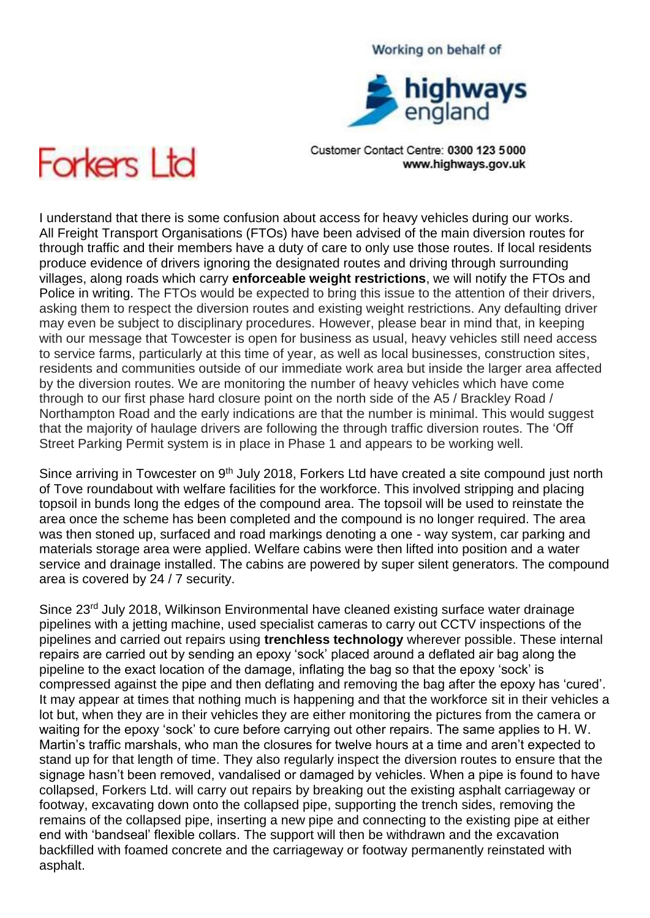# highways<br>england

Working on behalf of

Customer Contact Centre: 0300 123 5000 www.highways.gov.uk



I understand that there is some confusion about access for heavy vehicles during our works. All Freight Transport Organisations (FTOs) have been advised of the main diversion routes for through traffic and their members have a duty of care to only use those routes. If local residents produce evidence of drivers ignoring the designated routes and driving through surrounding villages, along roads which carry **enforceable weight restrictions**, we will notify the FTOs and Police in writing. The FTOs would be expected to bring this issue to the attention of their drivers, asking them to respect the diversion routes and existing weight restrictions. Any defaulting driver may even be subject to disciplinary procedures. However, please bear in mind that, in keeping with our message that Towcester is open for business as usual, heavy vehicles still need access to service farms, particularly at this time of year, as well as local businesses, construction sites, residents and communities outside of our immediate work area but inside the larger area affected by the diversion routes. We are monitoring the number of heavy vehicles which have come through to our first phase hard closure point on the north side of the A5 / Brackley Road / Northampton Road and the early indications are that the number is minimal. This would suggest that the majority of haulage drivers are following the through traffic diversion routes. The 'Off Street Parking Permit system is in place in Phase 1 and appears to be working well.

Since arriving in Towcester on 9<sup>th</sup> July 2018, Forkers Ltd have created a site compound just north of Tove roundabout with welfare facilities for the workforce. This involved stripping and placing topsoil in bunds long the edges of the compound area. The topsoil will be used to reinstate the area once the scheme has been completed and the compound is no longer required. The area was then stoned up, surfaced and road markings denoting a one - way system, car parking and materials storage area were applied. Welfare cabins were then lifted into position and a water service and drainage installed. The cabins are powered by super silent generators. The compound area is covered by 24 / 7 security.

Since 23<sup>rd</sup> July 2018, Wilkinson Environmental have cleaned existing surface water drainage pipelines with a jetting machine, used specialist cameras to carry out CCTV inspections of the pipelines and carried out repairs using **trenchless technology** wherever possible. These internal repairs are carried out by sending an epoxy 'sock' placed around a deflated air bag along the pipeline to the exact location of the damage, inflating the bag so that the epoxy 'sock' is compressed against the pipe and then deflating and removing the bag after the epoxy has 'cured'. It may appear at times that nothing much is happening and that the workforce sit in their vehicles a lot but, when they are in their vehicles they are either monitoring the pictures from the camera or waiting for the epoxy 'sock' to cure before carrying out other repairs. The same applies to H. W. Martin's traffic marshals, who man the closures for twelve hours at a time and aren't expected to stand up for that length of time. They also regularly inspect the diversion routes to ensure that the signage hasn't been removed, vandalised or damaged by vehicles. When a pipe is found to have collapsed, Forkers Ltd. will carry out repairs by breaking out the existing asphalt carriageway or footway, excavating down onto the collapsed pipe, supporting the trench sides, removing the remains of the collapsed pipe, inserting a new pipe and connecting to the existing pipe at either end with 'bandseal' flexible collars. The support will then be withdrawn and the excavation backfilled with foamed concrete and the carriageway or footway permanently reinstated with asphalt.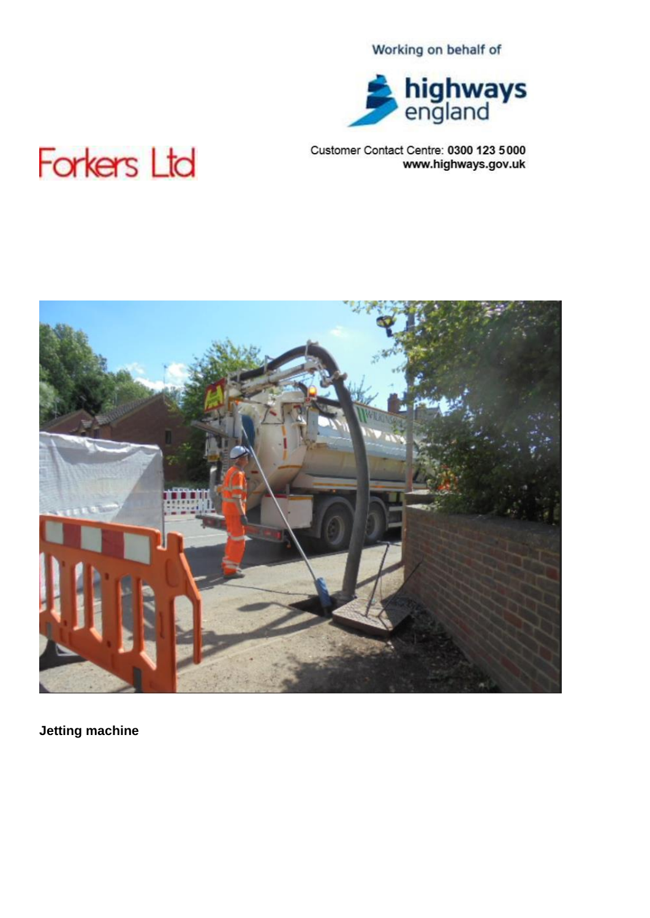

### Customer Contact Centre: 0300 123 5000 www.highways.gov.uk

# **Forkers Ltd**



**Jetting machine**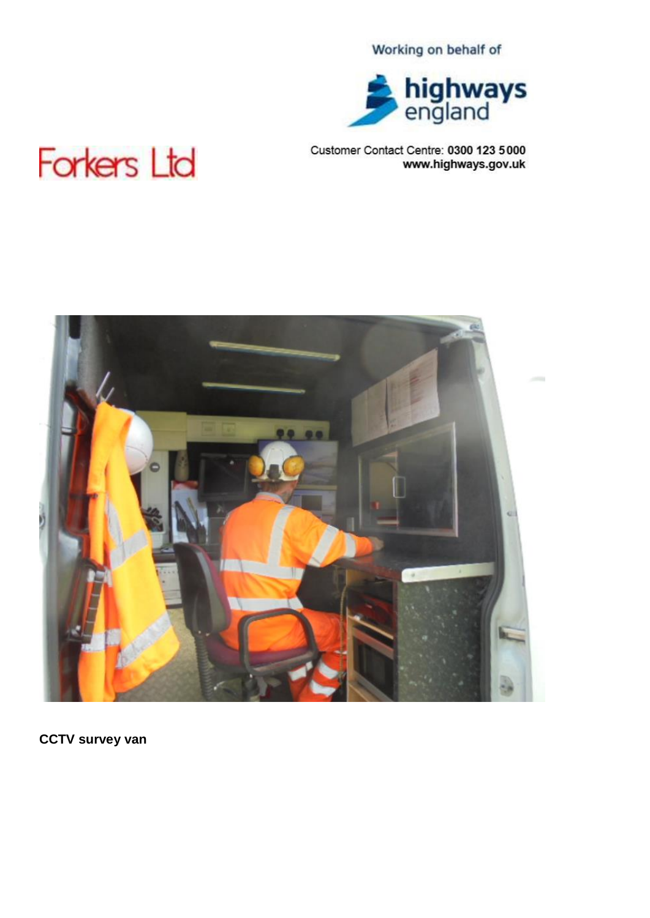

## Customer Contact Centre: 0300 123 5000 www.highways.gov.uk

# **Forkers Ltd**



**CCTV survey van**